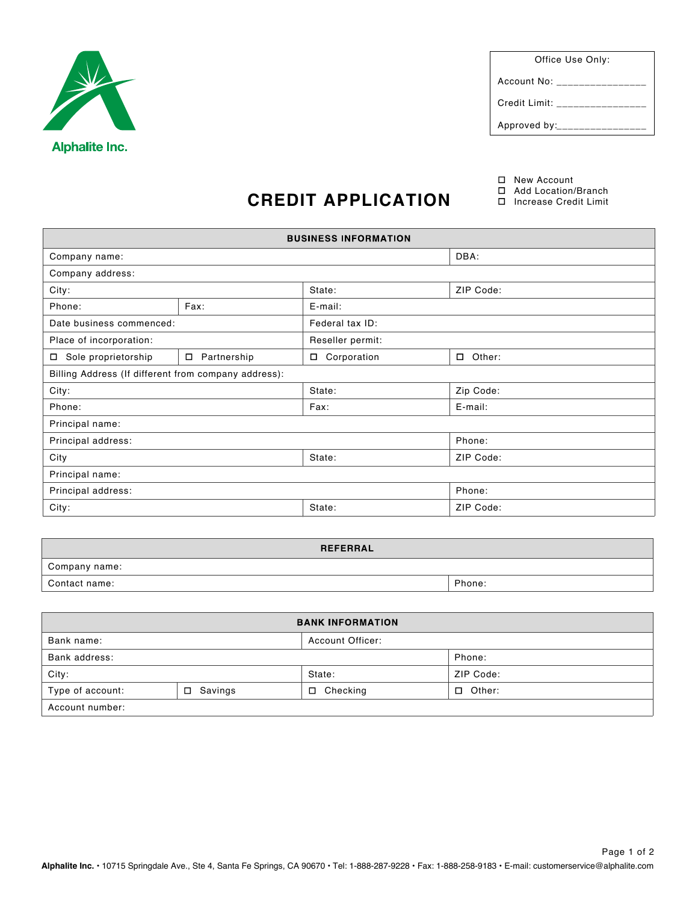

Office Use Only:

Account No: \_\_\_\_\_\_\_\_\_\_\_\_\_

Credit Limit: \_\_\_\_\_\_\_\_\_\_\_\_\_\_\_\_

Approved by:\_\_\_\_\_\_\_\_\_\_\_\_\_\_\_

□ New Account

Add Location/Branch

## **CREDIT APPLICATION**

| <b>BUSINESS INFORMATION</b>                          |                       |                   |               |  |  |
|------------------------------------------------------|-----------------------|-------------------|---------------|--|--|
| Company name:                                        |                       |                   | DBA:          |  |  |
| Company address:                                     |                       |                   |               |  |  |
| City:                                                |                       | State:            | ZIP Code:     |  |  |
| Phone:                                               | Fax:                  | E-mail:           |               |  |  |
| Date business commenced:                             |                       | Federal tax ID:   |               |  |  |
| Place of incorporation:                              |                       | Reseller permit:  |               |  |  |
| Sole proprietorship<br>$\Box$                        | Partnership<br>$\Box$ | Corporation<br>П. | $\Box$ Other: |  |  |
| Billing Address (If different from company address): |                       |                   |               |  |  |
| City:                                                |                       | State:            | Zip Code:     |  |  |
| Phone:                                               |                       | Fax:              | E-mail:       |  |  |
| Principal name:                                      |                       |                   |               |  |  |
| Principal address:                                   |                       |                   | Phone:        |  |  |
| City                                                 |                       | State:            | ZIP Code:     |  |  |
| Principal name:                                      |                       |                   |               |  |  |
| Principal address:                                   |                       |                   | Phone:        |  |  |
| City:                                                |                       | State:            | ZIP Code:     |  |  |

| <b>REFERRAL</b> |        |
|-----------------|--------|
| Company name:   |        |
| Contact name:   | Phone: |

| <b>BANK INFORMATION</b> |                   |                    |                  |  |  |
|-------------------------|-------------------|--------------------|------------------|--|--|
| Bank name:              |                   | Account Officer:   |                  |  |  |
| Bank address:           |                   |                    | Phone:           |  |  |
| City:                   |                   | State:             | ZIP Code:        |  |  |
| Type of account:        | Savings<br>$\Box$ | Checking<br>$\Box$ | Other:<br>$\Box$ |  |  |
| Account number:         |                   |                    |                  |  |  |